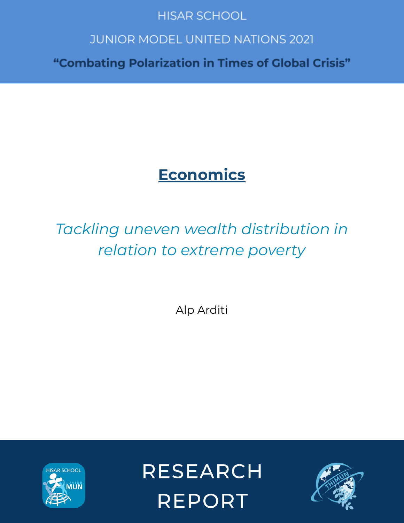# **HISAR SCHOOL**

# **JUNIOR MODEL UNITED NATIONS 2021**

"Combating Polarization in Times of Global Crisis"

# **Economics**

# *Tackling uneven wealth distribution in relation to extreme poverty*

Alp Arditi



**RESEARCH REPORT** 

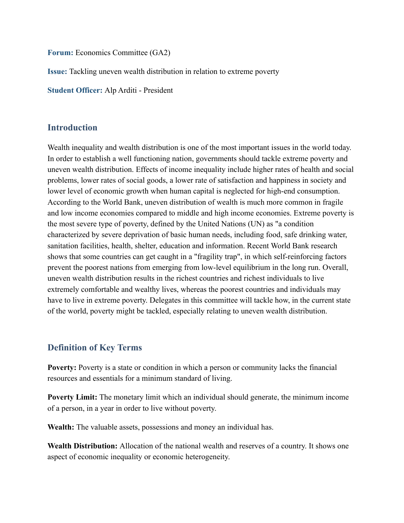**Forum:** Economics Committee (GA2)

**Issue:** Tackling uneven wealth distribution in relation to extreme poverty

**Student Officer:** Alp Arditi - President

#### **Introduction**

Wealth inequality and wealth distribution is one of the most important issues in the world today. In order to establish a well functioning nation, governments should tackle extreme poverty and uneven wealth distribution. Effects of income inequality include higher rates of health and social problems, lower rates of social goods, a lower rate of satisfaction and happiness in society and lower level of economic growth when human capital is neglected for high-end consumption. According to the World Bank, uneven distribution of wealth is much more common in fragile and low income economies compared to middle and high income economies. Extreme poverty is the most severe type of poverty, defined by the United Nations (UN) as "a condition characterized by severe deprivation of basic human needs, including food, safe drinking water, sanitation facilities, health, shelter, education and information. Recent World Bank research shows that some countries can get caught in a "fragility trap", in which self-reinforcing factors prevent the poorest nations from emerging from low-level equilibrium in the long run. Overall, uneven wealth distribution results in the richest countries and richest individuals to live extremely comfortable and wealthy lives, whereas the poorest countries and individuals may have to live in extreme poverty. Delegates in this committee will tackle how, in the current state of the world, poverty might be tackled, especially relating to uneven wealth distribution.

## **Definition of Key Terms**

**Poverty:** Poverty is a state or condition in which a person or community lacks the financial resources and essentials for a minimum standard of living.

**Poverty Limit:** The monetary limit which an individual should generate, the minimum income of a person, in a year in order to live without poverty.

**Wealth:** The valuable assets, possessions and money an individual has.

**Wealth Distribution:** Allocation of the national wealth and reserves of a country. It shows one aspect of economic inequality or economic heterogeneity.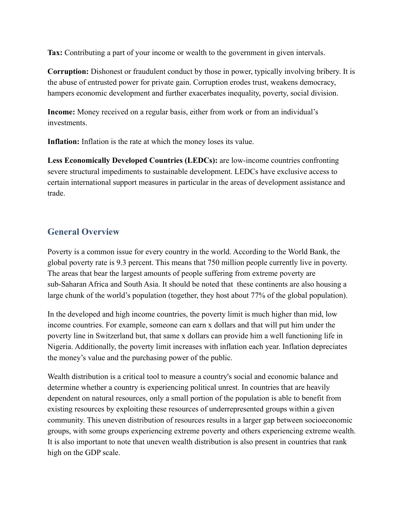**Tax:** Contributing a part of your income or wealth to the government in given intervals.

**Corruption:** Dishonest or fraudulent conduct by those in power, typically involving bribery. It is the abuse of entrusted power for private gain. Corruption erodes trust, weakens democracy, hampers economic development and further exacerbates inequality, poverty, social division.

**Income:** Money received on a regular basis, either from work or from an individual's investments.

**Inflation:** Inflation is the rate at which the money loses its value.

**Less Economically Developed Countries (LEDCs):** are low-income countries confronting severe structural impediments to sustainable development. LEDCs have exclusive access to certain international support measures in particular in the areas of development assistance and trade.

## **General Overview**

Poverty is a common issue for every country in the world. According to the World Bank, the global poverty rate is 9.3 percent. This means that 750 million people currently live in poverty. The areas that bear the largest amounts of people suffering from extreme poverty are sub-Saharan Africa and South Asia. It should be noted that these continents are also housing a large chunk of the world's population (together, they host about 77% of the global population).

In the developed and high income countries, the poverty limit is much higher than mid, low income countries. For example, someone can earn x dollars and that will put him under the poverty line in Switzerland but, that same x dollars can provide him a well functioning life in Nigeria. Additionally, the poverty limit increases with inflation each year. Inflation depreciates the money's value and the purchasing power of the public.

Wealth distribution is a critical tool to measure a country's social and economic balance and determine whether a country is experiencing political unrest. In countries that are heavily dependent on natural resources, only a small portion of the population is able to benefit from existing resources by exploiting these resources of underrepresented groups within a given community. This uneven distribution of resources results in a larger gap between socioeconomic groups, with some groups experiencing extreme poverty and others experiencing extreme wealth. It is also important to note that uneven wealth distribution is also present in countries that rank high on the GDP scale.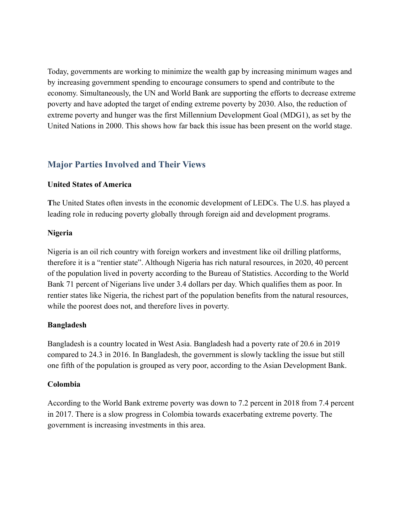Today, governments are working to minimize the wealth gap by increasing minimum wages and by increasing government spending to encourage consumers to spend and contribute to the economy. Simultaneously, the UN and World Bank are supporting the efforts to decrease extreme poverty and have adopted the target of ending extreme poverty by 2030. Also, the reduction of extreme poverty and hunger was the first Millennium Development Goal (MDG1), as set by the United Nations in 2000. This shows how far back this issue has been present on the world stage.

# **Major Parties Involved and Their Views**

#### **United States of America**

**T**he United States often invests in the economic development of LEDCs. The U.S. has played a leading role in reducing poverty globally through foreign aid and development programs.

#### **Nigeria**

Nigeria is an oil rich country with foreign workers and investment like oil drilling platforms, therefore it is a "rentier state". Although Nigeria has rich natural resources, in 2020, 40 percent of the population lived in poverty according to the Bureau of Statistics. According to the World Bank 71 percent of Nigerians live under 3.4 dollars per day. Which qualifies them as poor. In rentier states like Nigeria, the richest part of the population benefits from the natural resources, while the poorest does not, and therefore lives in poverty.

#### **Bangladesh**

Bangladesh is a country located in West Asia. Bangladesh had a poverty rate of 20.6 in 2019 compared to 24.3 in 2016. In Bangladesh, the government is slowly tackling the issue but still one fifth of the population is grouped as very poor, according to the Asian Development Bank.

#### **Colombia**

According to the World Bank extreme poverty was down to 7.2 percent in 2018 from 7.4 percent in 2017. There is a slow progress in Colombia towards exacerbating extreme poverty. The government is increasing investments in this area.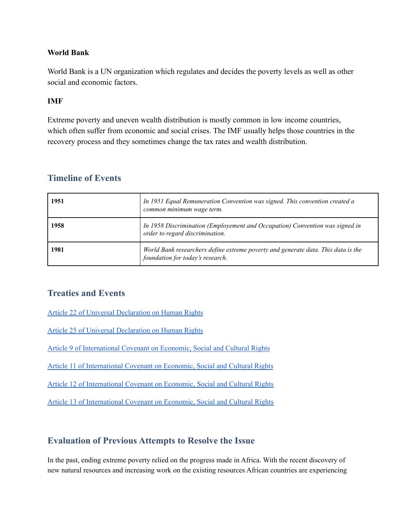#### **World Bank**

World Bank is a UN organization which regulates and decides the poverty levels as well as other social and economic factors.

#### **IMF**

Extreme poverty and uneven wealth distribution is mostly common in low income countries, which often suffer from economic and social crises. The IMF usually helps those countries in the recovery process and they sometimes change the tax rates and wealth distribution.

| 1951 | In 1951 Equal Remuneration Convention was signed. This convention created a<br>common minimum wage term.              |
|------|-----------------------------------------------------------------------------------------------------------------------|
| 1958 | In 1958 Discrimination (Employement and Occupation) Convention was signed in<br>order to regard discrimination.       |
| 1981 | World Bank researchers define extreme poverty and generate data. This data is the<br>foundation for today's research. |

#### **Timeline of Events**

## **Treaties and Events**

Article 22 of Universal [Declaration](https://www.un.org/en/about-us/universal-declaration-of-human-rights) on Human Rights

Article 25 of Universal [Declaration](https://www.un.org/en/udhrbook/pdf/udhr_booklet_en_web.pdf) on Human Rights

Article 9 of [International](https://www.ohchr.org/en/professionalinterest/pages/ccpr.aspx) Covenant on Economic, Social and Cultural Rights

Article 11 of [International](https://www.ohchr.org/en/professionalinterest/pages/cescr.aspx) Covenant on Economic, Social and Cultural Rights

Article 12 of [International](https://docstore.ohchr.org/SelfServices/FilesHandler.ashx?enc=4slQ6QSmlBEDzFEovLCuW1AVC1NkPsgUedPlF1vfPMJ2c7ey6PAz2qaojTzDJmC0y%2B9t%2BsAtGDNzdEqA6SuP2r0w%2F6sVBGTpvTSCbiOr4XVFTqhQY65auTFbQRPWNDxL) Covenant on Economic, Social and Cultural Rights

Article 13 of [International](https://www.ohchr.org/EN/Issues/Education/Training/Compilation/Pages/d)GeneralCommentNo13Therighttoeducation(article13)(1999).aspx) Covenant on Economic, Social and Cultural Rights

## **Evaluation of Previous Attempts to Resolve the Issue**

In the past, ending extreme poverty relied on the progress made in Africa. With the recent discovery of new natural resources and increasing work on the existing resources African countries are experiencing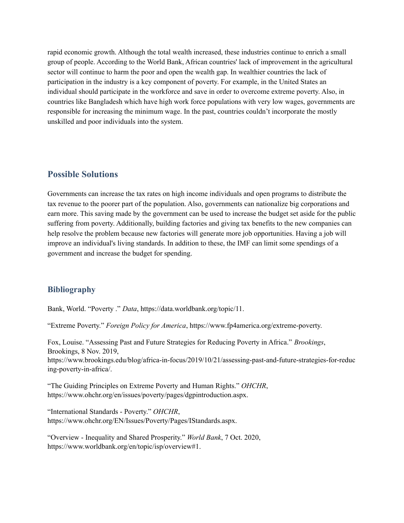rapid economic growth. Although the total wealth increased, these industries continue to enrich a small group of people. According to the World Bank, African countries' lack of improvement in the agricultural sector will continue to harm the poor and open the wealth gap. In wealthier countries the lack of participation in the industry is a key component of poverty. For example, in the United States an individual should participate in the workforce and save in order to overcome extreme poverty. Also, in countries like Bangladesh which have high work force populations with very low wages, governments are responsible for increasing the minimum wage. In the past, countries couldn't incorporate the mostly unskilled and poor individuals into the system.

#### **Possible Solutions**

Governments can increase the tax rates on high income individuals and open programs to distribute the tax revenue to the poorer part of the population. Also, governments can nationalize big corporations and earn more. This saving made by the government can be used to increase the budget set aside for the public suffering from poverty. Additionally, building factories and giving tax benefits to the new companies can help resolve the problem because new factories will generate more job opportunities. Having a job will improve an individual's living standards. In addition to these, the IMF can limit some spendings of a government and increase the budget for spending.

#### **Bibliography**

Bank, World. "Poverty ." *Data*, https://data.worldbank.org/topic/11.

"Extreme Poverty." *Foreign Policy for America*, https://www.fp4america.org/extreme-poverty.

Fox, Louise. "Assessing Past and Future Strategies for Reducing Poverty in Africa." *Brookings*, Brookings, 8 Nov. 2019, https://www.brookings.edu/blog/africa-in-focus/2019/10/21/assessing-past-and-future-strategies-for-reduc ing-poverty-in-africa/.

"The Guiding Principles on Extreme Poverty and Human Rights." *OHCHR*, https://www.ohchr.org/en/issues/poverty/pages/dgpintroduction.aspx.

"International Standards - Poverty." *OHCHR*, https://www.ohchr.org/EN/Issues/Poverty/Pages/IStandards.aspx.

"Overview - Inequality and Shared Prosperity." *World Bank*, 7 Oct. 2020, https://www.worldbank.org/en/topic/isp/overview#1.